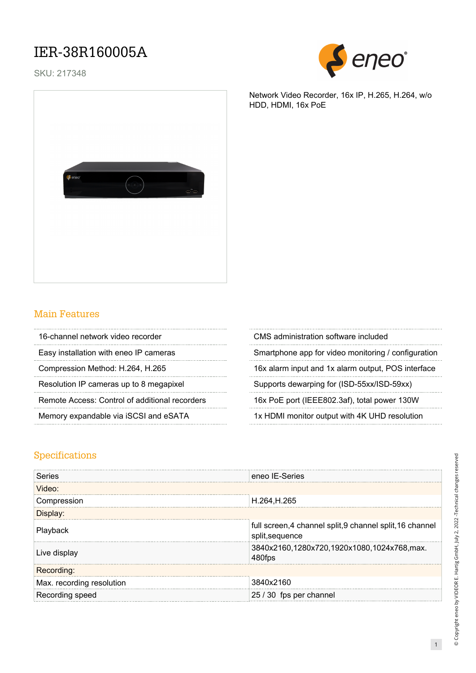### IER-38R160005A

SKU: 217348



Network Video Recorder, 16x IP, H.265, H.264, w/o HDD, HDMI, 16x PoE



#### Main Features

| 16-channel network video recorder              | CMS administration software included         |
|------------------------------------------------|----------------------------------------------|
| Easy installation with eneo IP cameras         | Smartphone app for video monitoring / config |
| Compression Method: H.264, H.265               | 16x alarm input and 1x alarm output, POS in  |
| Resolution IP cameras up to 8 megapixel        | Supports dewarping for (ISD-55xx/ISD-59xx)   |
| Remote Access: Control of additional recorders | 16x PoE port (IEEE802.3af), total power 130  |
| Memory expandable via iSCSI and eSATA          | 1x HDMI monitor output with 4K UHD resolut   |
|                                                |                                              |

| CMS administration software included                |
|-----------------------------------------------------|
| Smartphone app for video monitoring / configuration |
| 16x alarm input and 1x alarm output, POS interface  |
| Supports dewarping for (ISD-55xx/ISD-59xx)          |
| 16x PoE port (IEEE802.3af), total power 130W        |
| 1x HDMI monitor output with 4K UHD resolution       |
|                                                     |

#### Specifications

| Series                    | eneo IE-Series                                                               |
|---------------------------|------------------------------------------------------------------------------|
| Video:                    |                                                                              |
| Compression               | H.264, H.265                                                                 |
| <b>Jisplay:</b>           |                                                                              |
| Playback                  | full screen, 4 channel split, 9 channel split, 16 channel<br>split, sequence |
| Live display              | 3840x2160,1280x720,1920x1080,1024x768,max.<br>480fps                         |
| Recording:                |                                                                              |
| Max. recording resolution | 3840x2160                                                                    |
| Recording speed           | 25 / 30 fps per channel                                                      |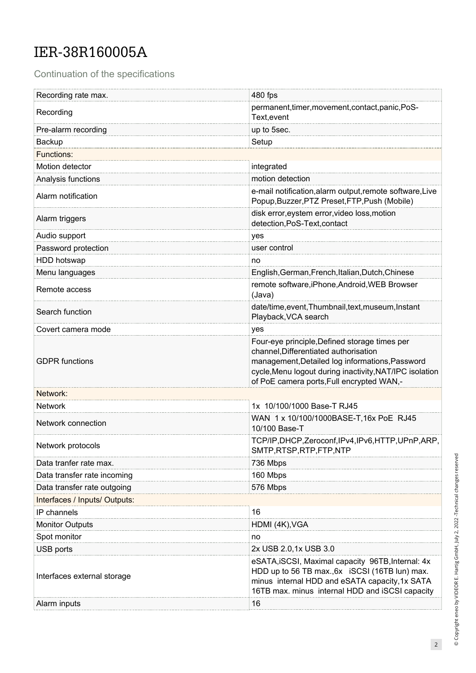## IER-38R160005A

Continuation of the specifications

| Recording rate max.           | 480 fps                                                                                                                                                                                                                                           |
|-------------------------------|---------------------------------------------------------------------------------------------------------------------------------------------------------------------------------------------------------------------------------------------------|
| Recording                     | permanent, timer, movement, contact, panic, PoS-<br>Text, event                                                                                                                                                                                   |
| Pre-alarm recording           | up to 5sec.                                                                                                                                                                                                                                       |
| Backup                        | Setup                                                                                                                                                                                                                                             |
| <b>Functions:</b>             |                                                                                                                                                                                                                                                   |
| Motion detector               | integrated                                                                                                                                                                                                                                        |
| Analysis functions            | motion detection                                                                                                                                                                                                                                  |
| Alarm notification            | e-mail notification, alarm output, remote software, Live<br>Popup, Buzzer, PTZ Preset, FTP, Push (Mobile)                                                                                                                                         |
| Alarm triggers                | disk error, eystem error, video loss, motion<br>detection, PoS-Text, contact                                                                                                                                                                      |
| Audio support                 | yes                                                                                                                                                                                                                                               |
| Password protection           | user control                                                                                                                                                                                                                                      |
| HDD hotswap                   | no                                                                                                                                                                                                                                                |
| Menu languages                | English, German, French, Italian, Dutch, Chinese                                                                                                                                                                                                  |
| Remote access                 | remote software, iPhone, Android, WEB Browser<br>(Java)                                                                                                                                                                                           |
| Search function               | date/time, event, Thumbnail, text, museum, Instant<br>Playback, VCA search                                                                                                                                                                        |
| Covert camera mode            | yes                                                                                                                                                                                                                                               |
| <b>GDPR</b> functions         | Four-eye principle, Defined storage times per<br>channel, Differentiated authorisation<br>management, Detailed log informations, Password<br>cycle, Menu logout during inactivity, NAT/IPC isolation<br>of PoE camera ports, Full encrypted WAN,- |
| Network:                      |                                                                                                                                                                                                                                                   |
| <b>Network</b>                | 1x 10/100/1000 Base-T RJ45                                                                                                                                                                                                                        |
| Network connection            | WAN 1 x 10/100/1000BASE-T, 16x PoE RJ45<br>10/100 Base-T                                                                                                                                                                                          |
| Network protocols             | TCP/IP,DHCP,Zeroconf,IPv4,IPv6,HTTP,UPnP,ARP,<br>SMTP, RTSP, RTP, FTP, NTP                                                                                                                                                                        |
| Data tranfer rate max.        | 736 Mbps                                                                                                                                                                                                                                          |
| Data transfer rate incoming   | 160 Mbps                                                                                                                                                                                                                                          |
| Data transfer rate outgoing   | 576 Mbps                                                                                                                                                                                                                                          |
| Interfaces / Inputs/ Outputs: |                                                                                                                                                                                                                                                   |
| IP channels                   | 16                                                                                                                                                                                                                                                |
| <b>Monitor Outputs</b>        | HDMI (4K), VGA                                                                                                                                                                                                                                    |
| Spot monitor                  | no                                                                                                                                                                                                                                                |
| USB ports                     | 2x USB 2.0,1x USB 3.0                                                                                                                                                                                                                             |
| Interfaces external storage   | eSATA, iSCSI, Maximal capacity 96TB, Internal: 4x<br>HDD up to 56 TB max., 6x iSCSI (16TB lun) max.<br>minus internal HDD and eSATA capacity, 1x SATA<br>16TB max. minus internal HDD and iSCSI capacity                                          |
| Alarm inputs                  | 16                                                                                                                                                                                                                                                |